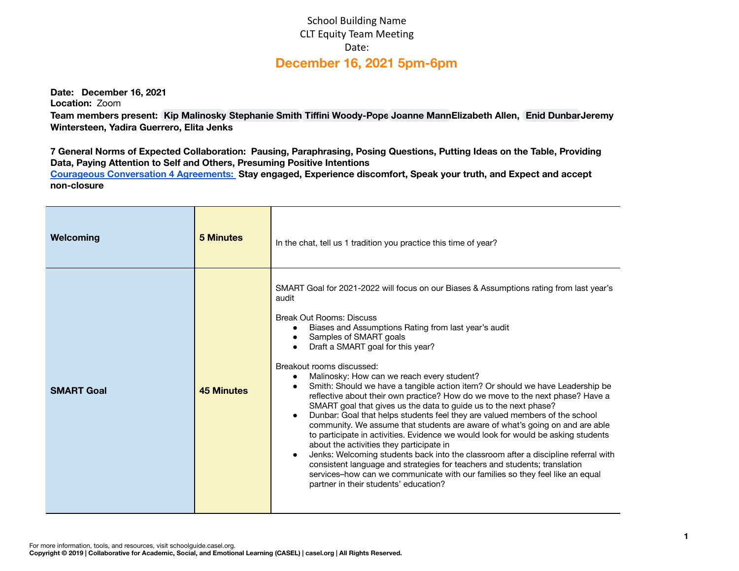## School Building Name CLT Equity Team Meeting Date: **December 16, 2021 5pm-6pm**

**Date: December 16, 2021**

**Location:** Zoom

**Team members present: Kip [Malinosky](mailto:kip.malinosky@apsva.us) [Stephanie](mailto:stephanie.smith@apsva.us) Smith Tiffini [Woody-Pope](mailto:tiffini.woodypope@apsva.us) [Joanne](mailto:joanne.mann@apsva.us) MannElizabeth Allen, Enid [DunbarJ](mailto:enid.dunbar@apsva.us)eremy Wintersteen, Yadira Guerrero, Elita Jenks**

7 General Norms of Expected Collaboration: Pausing, Paraphrasing, Posing Questions, Putting Ideas on the Table, Providing **Data, Paying Attention to Self and Others, Presuming Positive Intentions**

**Courageous [Conversation](https://iel.org/sites/default/files/G10-courageous-conversation-protocol-overview.pdf) 4 Agreements: Stay engaged, Experience discomfort, Speak your truth, and Expect and accept non-closure**

| Welcoming         | <b>5 Minutes</b>  | In the chat, tell us 1 tradition you practice this time of year?                                                                                                                                                                                                                                                                                                                                                                                                                                                                                                                                                                                                                                                                                                                                                                                                                                                                                                                                                                                                                                                                                                                                  |  |  |  |
|-------------------|-------------------|---------------------------------------------------------------------------------------------------------------------------------------------------------------------------------------------------------------------------------------------------------------------------------------------------------------------------------------------------------------------------------------------------------------------------------------------------------------------------------------------------------------------------------------------------------------------------------------------------------------------------------------------------------------------------------------------------------------------------------------------------------------------------------------------------------------------------------------------------------------------------------------------------------------------------------------------------------------------------------------------------------------------------------------------------------------------------------------------------------------------------------------------------------------------------------------------------|--|--|--|
| <b>SMART Goal</b> | <b>45 Minutes</b> | SMART Goal for 2021-2022 will focus on our Biases & Assumptions rating from last year's<br>audit<br><b>Break Out Rooms: Discuss</b><br>Biases and Assumptions Rating from last year's audit<br>Samples of SMART goals<br>Draft a SMART goal for this year?<br>Breakout rooms discussed:<br>Malinosky: How can we reach every student?<br>$\bullet$<br>Smith: Should we have a tangible action item? Or should we have Leadership be<br>reflective about their own practice? How do we move to the next phase? Have a<br>SMART goal that gives us the data to guide us to the next phase?<br>Dunbar: Goal that helps students feel they are valued members of the school<br>$\bullet$<br>community. We assume that students are aware of what's going on and are able<br>to participate in activities. Evidence we would look for would be asking students<br>about the activities they participate in<br>Jenks: Welcoming students back into the classroom after a discipline referral with<br>consistent language and strategies for teachers and students; translation<br>services-how can we communicate with our families so they feel like an equal<br>partner in their students' education? |  |  |  |